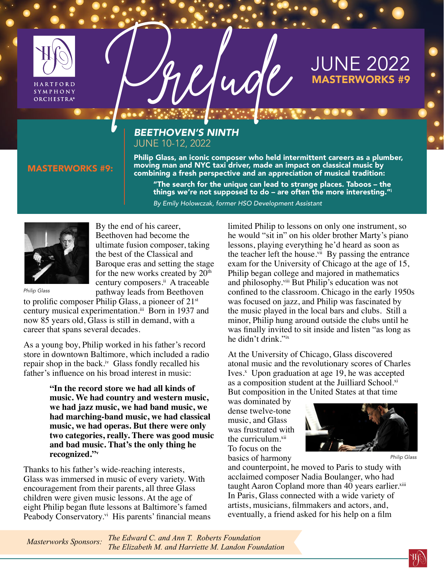

SYMPHONY **ORCHESTRA®** 

# MARTINE 2022

## *BEETHOVEN'S NINTH* JUNE 10-12, 2022

Philip Glass, an iconic composer who held intermittent careers as a plumber, moving man and NYC taxi driver, made an impact on classical music by combining a fresh perspective and an appreciation of musical tradition:

"The search for the unique can lead to strange places. Taboos – the things we're not supposed to do – are often the more interesting."i *By Emily Holowczak, former HSO Development Assistant*



MASTERWORKS #9:

By the end of his career, Beethoven had become the ultimate fusion composer, taking the best of the Classical and Baroque eras and setting the stage for the new works created by 20<sup>th</sup> century composers.<sup>ii</sup> A traceable pathway leads from Beethoven

*Philip Glass*

to prolific composer Philip Glass, a pioneer of 21st century musical experimentation.<sup>iii</sup> Born in 1937 and now 85 years old, Glass is still in demand, with a career that spans several decades.

As a young boy, Philip worked in his father's record store in downtown Baltimore, which included a radio repair shop in the back.<sup>iv</sup> Glass fondly recalled his father's influence on his broad interest in music:

> **"In the record store we had all kinds of music. We had country and western music, we had jazz music, we had band music, we had marching-band music, we had classical music, we had operas. But there were only two categories, really. There was good music and bad music. That's the only thing he recognized."v**

Thanks to his father's wide-reaching interests, Glass was immersed in music of every variety. With encouragement from their parents, all three Glass children were given music lessons. At the age of eight Philip began flute lessons at Baltimore's famed Peabody Conservatory.<sup>vi</sup> His parents' financial means limited Philip to lessons on only one instrument, so he would "sit in" on his older brother Marty's piano lessons, playing everything he'd heard as soon as the teacher left the house. $v^{ii}$  By passing the entrance exam for the University of Chicago at the age of 15, Philip began college and majored in mathematics and philosophy.<sup>viii</sup> But Philip's education was not confined to the classroom. Chicago in the early 1950s was focused on jazz, and Philip was fascinated by the music played in the local bars and clubs. Still a minor, Philip hung around outside the clubs until he was finally invited to sit inside and listen "as long as he didn't drink."ix

At the University of Chicago, Glass discovered atonal music and the revolutionary scores of Charles Ives.<sup>x</sup> Upon graduation at age 19, he was accepted as a composition student at the Juilliard School.xi But composition in the United States at that time

was dominated by dense twelve-tone music, and Glass was frustrated with the curriculum. $xii$ To focus on the basics of harmony



*Philip Glass*

and counterpoint, he moved to Paris to study with acclaimed composer Nadia Boulanger, who had taught Aaron Copland more than 40 years earlier.xiii In Paris, Glass connected with a wide variety of artists, musicians, filmmakers and actors, and, eventually, a friend asked for his help on a film

*The Edward C. and Ann T. Roberts Foundation The Elizabeth M. and Harriette M. Landon Foundation Masterworks Sponsors:*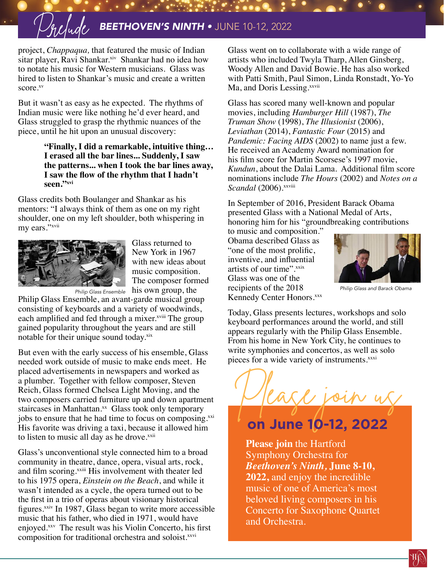# Prelude *BEETHOVEN'S NINTH •* JUNE 10-12, 2022

project, *Chappaqua,* that featured the music of Indian sitar player, Ravi Shankar.<sup>xiv</sup> Shankar had no idea how to notate his music for Western musicians. Glass was hired to listen to Shankar's music and create a written score.<sup>xv</sup>

But it wasn't as easy as he expected. The rhythms of Indian music were like nothing he'd ever heard, and Glass struggled to grasp the rhythmic nuances of the piece, until he hit upon an unusual discovery:

#### **"Finally, I did a remarkable, intuitive thing… I erased all the bar lines... Suddenly, I saw the patterns... when I took the bar lines away, I saw the flow of the rhythm that I hadn't**  seen."xvi

Glass credits both Boulanger and Shankar as his mentors: "I always think of them as one on my right shoulder, one on my left shoulder, both whispering in my ears."xvii



Glass returned to New York in 1967 with new ideas about music composition. The composer formed

Philip Glass Ensemble, an avant-garde musical group consisting of keyboards and a variety of woodwinds, each amplified and fed through a mixer.<sup>xviii</sup> The group gained popularity throughout the years and are still notable for their unique sound today.xix

But even with the early success of his ensemble, Glass needed work outside of music to make ends meet. He placed advertisements in newspapers and worked as a plumber. Together with fellow composer, Steven Reich, Glass formed Chelsea Light Moving, and the two composers carried furniture up and down apartment staircases in Manhattan.<sup>xx</sup> Glass took only temporary jobs to ensure that he had time to focus on composing.<sup>xxi</sup> His favorite was driving a taxi, because it allowed him to listen to music all day as he drove.<sup>xxii</sup>

Glass's unconventional style connected him to a broad community in theatre, dance, opera, visual arts, rock, and film scoring.xxiii His involvement with theater led to his 1975 opera, *Einstein on the Beach*, and while it wasn't intended as a cycle, the opera turned out to be the first in a trio of operas about visionary historical figures.xxiv In 1987, Glass began to write more accessible music that his father, who died in 1971, would have enjoyed.xxv The result was his Violin Concerto, his first composition for traditional orchestra and soloist.<sup>xxvi</sup>

Glass went on to collaborate with a wide range of artists who included Twyla Tharp, Allen Ginsberg, Woody Allen and David Bowie. He has also worked with Patti Smith, Paul Simon, Linda Ronstadt, Yo-Yo Ma, and Doris Lessing.xxvii

Glass has scored many well-known and popular movies, including *Hamburger Hill* (1987), *The Truman Show* (1998), *The Illusionist* (2006), *Leviathan* (2014), *Fantastic Four* (2015) and *Pandemic: Facing AIDS* (2002) to name just a few. He received an Academy Award nomination for his film score for Martin Scorsese's 1997 movie, *Kundun*, about the Dalai Lama. Additional film score nominations include *The Hours* (2002) and *Notes on a Scandal* (2006). XXViii

In September of 2016, President Barack Obama presented Glass with a National Medal of Arts, honoring him for his "groundbreaking contributions

*Philip Glass Ensemble* his own group, the recipients of the 2018 *Philip Glass and Barack Obama* to music and composition." Obama described Glass as "one of the most prolific, inventive, and influential artists of our time".xxix Glass was one of the recipients of the 2018 Kennedy Center Honors.<sup>xxx</sup>



Today, Glass presents lectures, workshops and solo keyboard performances around the world, and still appears regularly with the Philip Glass Ensemble. From his home in New York City, he continues to write symphonies and concertos, as well as solo pieces for a wide variety of instruments.<sup>xxxi</sup>



# **on June 10-12, 2022**

**Please join** the Hartford Symphony Orchestra for *Beethoven's Ninth,* **June 8-10, 2022,** and enjoy the incredible music of one of America's most beloved living composers in his Concerto for Saxophone Quartet and Orchestra.

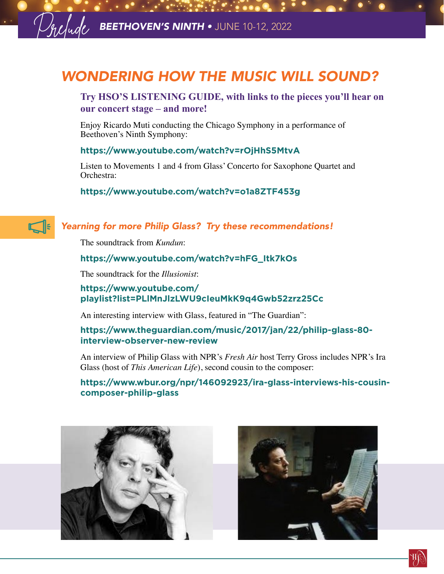# *WONDERING HOW THE MUSIC WILL SOUND?*

# **Try HSO'S LISTENING GUIDE, with links to the pieces you'll hear on our concert stage – and more!**

Enjoy Ricardo Muti conducting the Chicago Symphony in a performance of Beethoven's Ninth Symphony:

#### **<https://www.youtube.com/watch?v=rOjHhS5MtvA>**

Listen to Movements 1 and 4 from Glass' Concerto for Saxophone Quartet and Orchestra:

#### **<https://www.youtube.com/watch?v=o1a8ZTF453g>**



# *Yearning for more Philip Glass? Try these recommendations!*

The soundtrack from *Kundun*:

#### **[https://www.youtube.com/watch?v=hFG\\_Itk7kOs](https://www.youtube.com/watch?v=hFG_Itk7kOs)**

The soundtrack for the *Illusionist*:

## **[https://www.youtube.com/](https://www.youtube.com/playlist?list=PLlMnJlzLWU9cIeuMkK9q4Gwb52zrz25Cc) [playlist?list=PLlMnJlzLWU9cIeuMkK9q4Gwb52zrz25Cc](https://www.youtube.com/playlist?list=PLlMnJlzLWU9cIeuMkK9q4Gwb52zrz25Cc)**

An interesting interview with Glass, featured in "The Guardian":

## **[https://www.theguardian.com/music/2017/jan/22/philip-glass-80](https://www.theguardian.com/music/2017/jan/22/philip-glass-80-interview-observer-new-review) [interview-observer-new-review](https://www.theguardian.com/music/2017/jan/22/philip-glass-80-interview-observer-new-review)**

An interview of Philip Glass with NPR's *Fresh Air* host Terry Gross includes NPR's Ira Glass (host of *This American Life*), second cousin to the composer:

## **[https://www.wbur.org/npr/146092923/ira-glass-interviews-his-cousin](https://www.wbur.org/npr/146092923/ira-glass-interviews-his-cousin-composer-philip-glass)[composer-philip-glass](https://www.wbur.org/npr/146092923/ira-glass-interviews-his-cousin-composer-philip-glass)**





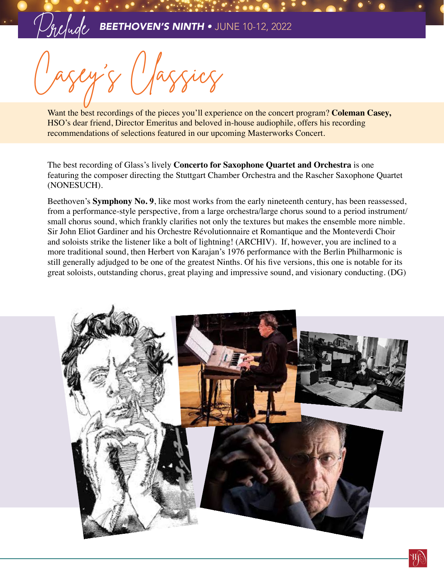Casey's Classics

Want the best recordings of the pieces you'll experience on the concert program? **Coleman Casey,**  HSO's dear friend, Director Emeritus and beloved in-house audiophile, offers his recording recommendations of selections featured in our upcoming Masterworks Concert.

The best recording of Glass's lively **Concerto for Saxophone Quartet and Orchestra** is one featuring the composer directing the Stuttgart Chamber Orchestra and the Rascher Saxophone Quartet (NONESUCH).

Beethoven's **Symphony No. 9**, like most works from the early nineteenth century, has been reassessed, from a performance-style perspective, from a large orchestra/large chorus sound to a period instrument/ small chorus sound, which frankly clarifies not only the textures but makes the ensemble more nimble. Sir John Eliot Gardiner and his Orchestre Révolutionnaire et Romantique and the Monteverdi Choir and soloists strike the listener like a bolt of lightning! (ARCHIV). If, however, you are inclined to a more traditional sound, then Herbert von Karajan's 1976 performance with the Berlin Philharmonic is still generally adjudged to be one of the greatest Ninths. Of his five versions, this one is notable for its great soloists, outstanding chorus, great playing and impressive sound, and visionary conducting. (DG)